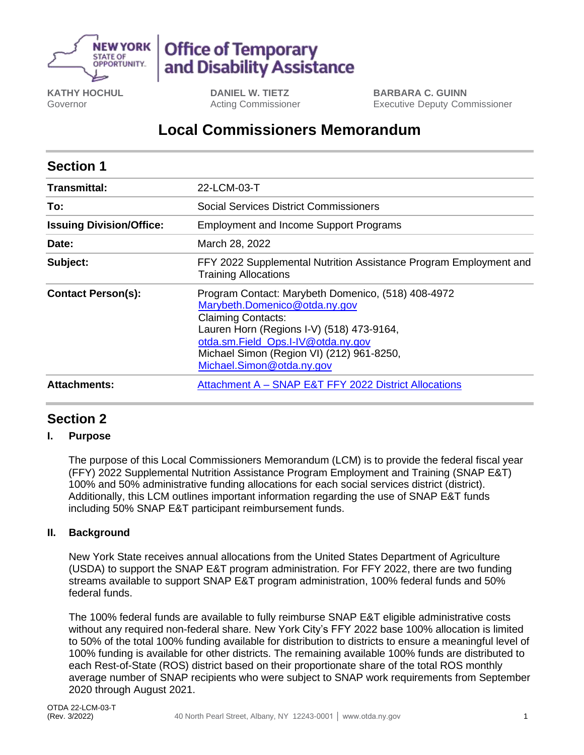

# **Office of Temporary** and Disability Assistance

**KATHY HOCHUL** Governor

**DANIEL W. TIETZ** Acting Commissioner **BARBARA C. GUINN** Executive Deputy Commissioner

## **Local Commissioners Memorandum**

| <b>Section 1</b>                |                                                                                                                                                                                                                                                                               |
|---------------------------------|-------------------------------------------------------------------------------------------------------------------------------------------------------------------------------------------------------------------------------------------------------------------------------|
| <b>Transmittal:</b>             | 22-LCM-03-T                                                                                                                                                                                                                                                                   |
| To:                             | <b>Social Services District Commissioners</b>                                                                                                                                                                                                                                 |
| <b>Issuing Division/Office:</b> | <b>Employment and Income Support Programs</b>                                                                                                                                                                                                                                 |
| Date:                           | March 28, 2022                                                                                                                                                                                                                                                                |
| Subject:                        | FFY 2022 Supplemental Nutrition Assistance Program Employment and<br><b>Training Allocations</b>                                                                                                                                                                              |
| <b>Contact Person(s):</b>       | Program Contact: Marybeth Domenico, (518) 408-4972<br>Marybeth.Domenico@otda.ny.gov<br><b>Claiming Contacts:</b><br>Lauren Horn (Regions I-V) (518) 473-9164,<br>otda.sm.Field Ops.I-IV@otda.ny.gov<br>Michael Simon (Region VI) (212) 961-8250,<br>Michael.Simon@otda.ny.gov |
| <b>Attachments:</b>             | Attachment A - SNAP E&T FFY 2022 District Allocations                                                                                                                                                                                                                         |

## **Section 2**

#### **I. Purpose**

The purpose of this Local Commissioners Memorandum (LCM) is to provide the federal fiscal year (FFY) 2022 Supplemental Nutrition Assistance Program Employment and Training (SNAP E&T) 100% and 50% administrative funding allocations for each social services district (district). Additionally, this LCM outlines important information regarding the use of SNAP E&T funds including 50% SNAP E&T participant reimbursement funds.

#### **II. Background**

New York State receives annual allocations from the United States Department of Agriculture (USDA) to support the SNAP E&T program administration. For FFY 2022, there are two funding streams available to support SNAP E&T program administration, 100% federal funds and 50% federal funds.

The 100% federal funds are available to fully reimburse SNAP E&T eligible administrative costs without any required non-federal share. New York City's FFY 2022 base 100% allocation is limited to 50% of the total 100% funding available for distribution to districts to ensure a meaningful level of 100% funding is available for other districts. The remaining available 100% funds are distributed to each Rest-of-State (ROS) district based on their proportionate share of the total ROS monthly average number of SNAP recipients who were subject to SNAP work requirements from September 2020 through August 2021.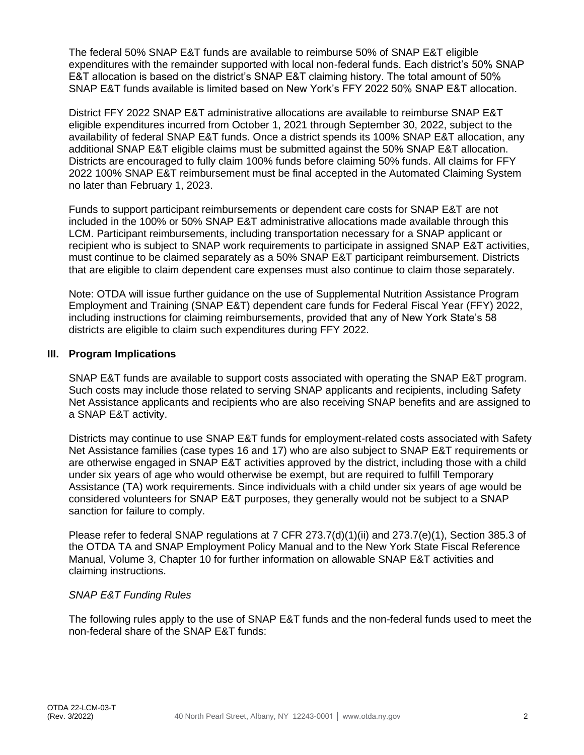The federal 50% SNAP E&T funds are available to reimburse 50% of SNAP E&T eligible expenditures with the remainder supported with local non-federal funds. Each district's 50% SNAP E&T allocation is based on the district's SNAP E&T claiming history. The total amount of 50% SNAP E&T funds available is limited based on New York's FFY 2022 50% SNAP E&T allocation.

District FFY 2022 SNAP E&T administrative allocations are available to reimburse SNAP E&T eligible expenditures incurred from October 1, 2021 through September 30, 2022, subject to the availability of federal SNAP E&T funds. Once a district spends its 100% SNAP E&T allocation, any additional SNAP E&T eligible claims must be submitted against the 50% SNAP E&T allocation. Districts are encouraged to fully claim 100% funds before claiming 50% funds. All claims for FFY 2022 100% SNAP E&T reimbursement must be final accepted in the Automated Claiming System no later than February 1, 2023.

Funds to support participant reimbursements or dependent care costs for SNAP E&T are not included in the 100% or 50% SNAP E&T administrative allocations made available through this LCM. Participant reimbursements, including transportation necessary for a SNAP applicant or recipient who is subject to SNAP work requirements to participate in assigned SNAP E&T activities, must continue to be claimed separately as a 50% SNAP E&T participant reimbursement. Districts that are eligible to claim dependent care expenses must also continue to claim those separately.

Note: OTDA will issue further guidance on the use of Supplemental Nutrition Assistance Program Employment and Training (SNAP E&T) dependent care funds for Federal Fiscal Year (FFY) 2022, including instructions for claiming reimbursements, provided that any of New York State's 58 districts are eligible to claim such expenditures during FFY 2022.

#### **III. Program Implications**

SNAP E&T funds are available to support costs associated with operating the SNAP E&T program. Such costs may include those related to serving SNAP applicants and recipients, including Safety Net Assistance applicants and recipients who are also receiving SNAP benefits and are assigned to a SNAP E&T activity.

Districts may continue to use SNAP E&T funds for employment-related costs associated with Safety Net Assistance families (case types 16 and 17) who are also subject to SNAP E&T requirements or are otherwise engaged in SNAP E&T activities approved by the district, including those with a child under six years of age who would otherwise be exempt, but are required to fulfill Temporary Assistance (TA) work requirements. Since individuals with a child under six years of age would be considered volunteers for SNAP E&T purposes, they generally would not be subject to a SNAP sanction for failure to comply.

Please refer to federal SNAP regulations at 7 CFR 273.7(d)(1)(ii) and 273.7(e)(1), Section 385.3 of the OTDA TA and SNAP Employment Policy Manual and to the New York State Fiscal Reference Manual, Volume 3, Chapter 10 for further information on allowable SNAP E&T activities and claiming instructions.

#### *SNAP E&T Funding Rules*

The following rules apply to the use of SNAP E&T funds and the non-federal funds used to meet the non-federal share of the SNAP E&T funds: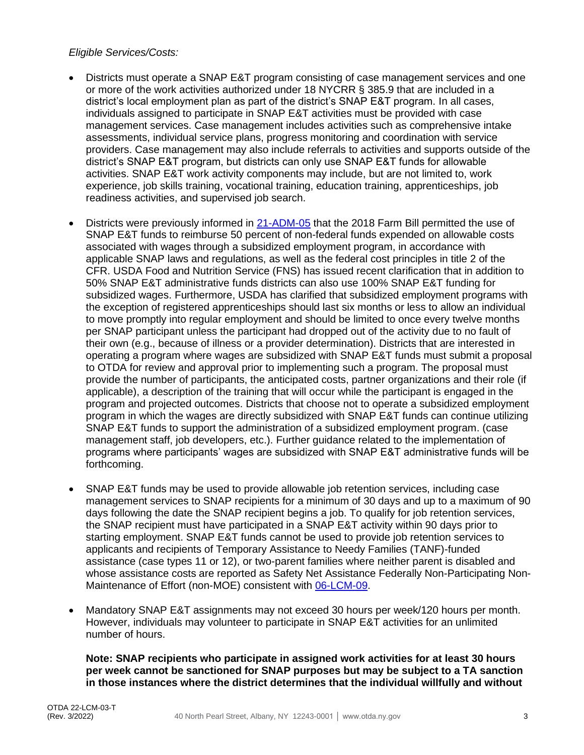#### *Eligible Services/Costs:*

- Districts must operate a SNAP E&T program consisting of case management services and one or more of the work activities authorized under 18 NYCRR § 385.9 that are included in a district's local employment plan as part of the district's SNAP E&T program. In all cases, individuals assigned to participate in SNAP E&T activities must be provided with case management services. Case management includes activities such as comprehensive intake assessments, individual service plans, progress monitoring and coordination with service providers. Case management may also include referrals to activities and supports outside of the district's SNAP E&T program, but districts can only use SNAP E&T funds for allowable activities. SNAP E&T work activity components may include, but are not limited to, work experience, job skills training, vocational training, education training, apprenticeships, job readiness activities, and supervised job search.
- Districts were previously informed in [21-ADM-05](https://otda.ny.gov/policy/directives/2021/ADM/21-ADM-05.pdf) that the 2018 Farm Bill permitted the use of SNAP E&T funds to reimburse 50 percent of non-federal funds expended on allowable costs associated with wages through a subsidized employment program, in accordance with applicable SNAP laws and regulations, as well as the federal cost principles in title 2 of the CFR. USDA Food and Nutrition Service (FNS) has issued recent clarification that in addition to 50% SNAP E&T administrative funds districts can also use 100% SNAP E&T funding for subsidized wages. Furthermore, USDA has clarified that subsidized employment programs with the exception of registered apprenticeships should last six months or less to allow an individual to move promptly into regular employment and should be limited to once every twelve months per SNAP participant unless the participant had dropped out of the activity due to no fault of their own (e.g., because of illness or a provider determination). Districts that are interested in operating a program where wages are subsidized with SNAP E&T funds must submit a proposal to OTDA for review and approval prior to implementing such a program. The proposal must provide the number of participants, the anticipated costs, partner organizations and their role (if applicable), a description of the training that will occur while the participant is engaged in the program and projected outcomes. Districts that choose not to operate a subsidized employment program in which the wages are directly subsidized with SNAP E&T funds can continue utilizing SNAP E&T funds to support the administration of a subsidized employment program. (case management staff, job developers, etc.). Further guidance related to the implementation of programs where participants' wages are subsidized with SNAP E&T administrative funds will be forthcoming.
- SNAP E&T funds may be used to provide allowable job retention services, including case management services to SNAP recipients for a minimum of 30 days and up to a maximum of 90 days following the date the SNAP recipient begins a job. To qualify for job retention services, the SNAP recipient must have participated in a SNAP E&T activity within 90 days prior to starting employment. SNAP E&T funds cannot be used to provide job retention services to applicants and recipients of Temporary Assistance to Needy Families (TANF)-funded assistance (case types 11 or 12), or two-parent families where neither parent is disabled and whose assistance costs are reported as Safety Net Assistance Federally Non-Participating Non-Maintenance of Effort (non-MOE) consistent with [06-LCM-09.](http://otda.ny.gov/policy/directives/2006/LCM/06-LCM-09.pdf)
- Mandatory SNAP E&T assignments may not exceed 30 hours per week/120 hours per month. However, individuals may volunteer to participate in SNAP E&T activities for an unlimited number of hours.

**Note: SNAP recipients who participate in assigned work activities for at least 30 hours per week cannot be sanctioned for SNAP purposes but may be subject to a TA sanction in those instances where the district determines that the individual willfully and without**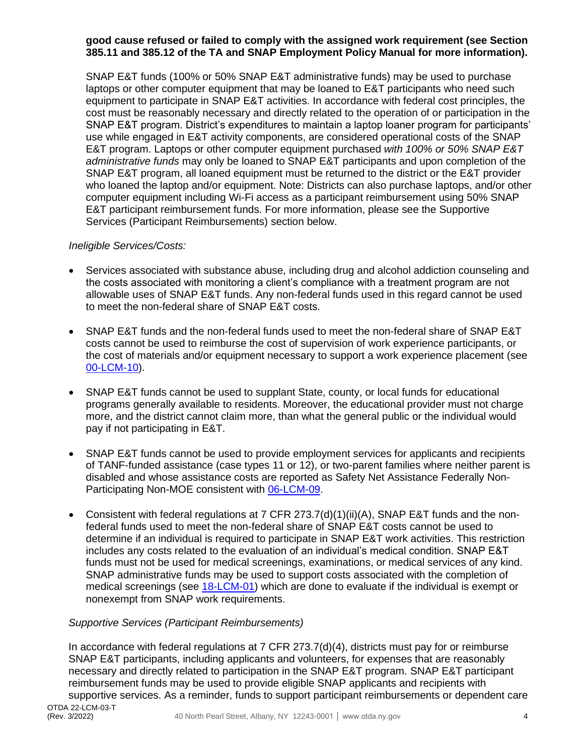#### **good cause refused or failed to comply with the assigned work requirement (see Section 385.11 and 385.12 of the TA and SNAP Employment Policy Manual for more information).**

SNAP E&T funds (100% or 50% SNAP E&T administrative funds) may be used to purchase laptops or other computer equipment that may be loaned to E&T participants who need such equipment to participate in SNAP E&T activities. In accordance with federal cost principles, the cost must be reasonably necessary and directly related to the operation of or participation in the SNAP E&T program. District's expenditures to maintain a laptop loaner program for participants' use while engaged in E&T activity components, are considered operational costs of the SNAP E&T program. Laptops or other computer equipment purchased *with 100% or 50% SNAP E&T administrative funds* may only be loaned to SNAP E&T participants and upon completion of the SNAP E&T program, all loaned equipment must be returned to the district or the E&T provider who loaned the laptop and/or equipment. Note: Districts can also purchase laptops, and/or other computer equipment including Wi-Fi access as a participant reimbursement using 50% SNAP E&T participant reimbursement funds. For more information, please see the Supportive Services (Participant Reimbursements) section below.

#### *Ineligible Services/Costs:*

- Services associated with substance abuse, including drug and alcohol addiction counseling and the costs associated with monitoring a client's compliance with a treatment program are not allowable uses of SNAP E&T funds. Any non-federal funds used in this regard cannot be used to meet the non-federal share of SNAP E&T costs.
- SNAP E&T funds and the non-federal funds used to meet the non-federal share of SNAP E&T costs cannot be used to reimburse the cost of supervision of work experience participants, or the cost of materials and/or equipment necessary to support a work experience placement (see [00-LCM-10\)](http://otda.ny.gov/policy/directives/2000/LCM/00_LCM-10.pdf).
- SNAP E&T funds cannot be used to supplant State, county, or local funds for educational programs generally available to residents. Moreover, the educational provider must not charge more, and the district cannot claim more, than what the general public or the individual would pay if not participating in E&T.
- SNAP E&T funds cannot be used to provide employment services for applicants and recipients of TANF-funded assistance (case types 11 or 12), or two-parent families where neither parent is disabled and whose assistance costs are reported as Safety Net Assistance Federally Non-Participating Non-MOE consistent with [06-LCM-09.](http://otda.ny.gov/policy/directives/2006/LCM/06-LCM-09.pdf)
- Consistent with federal regulations at 7 CFR 273.7(d)(1)(ii)(A), SNAP E&T funds and the nonfederal funds used to meet the non-federal share of SNAP E&T costs cannot be used to determine if an individual is required to participate in SNAP E&T work activities. This restriction includes any costs related to the evaluation of an individual's medical condition. SNAP E&T funds must not be used for medical screenings, examinations, or medical services of any kind. SNAP administrative funds may be used to support costs associated with the completion of medical screenings (see [18-LCM-01\)](http://otda.ny.gov/policy/directives/2018/LCM/18-LCM-01.pdf) which are done to evaluate if the individual is exempt or nonexempt from SNAP work requirements.

#### *Supportive Services (Participant Reimbursements)*

In accordance with federal regulations at 7 CFR 273.7(d)(4), districts must pay for or reimburse SNAP E&T participants, including applicants and volunteers, for expenses that are reasonably necessary and directly related to participation in the SNAP E&T program. SNAP E&T participant reimbursement funds may be used to provide eligible SNAP applicants and recipients with supportive services. As a reminder, funds to support participant reimbursements or dependent care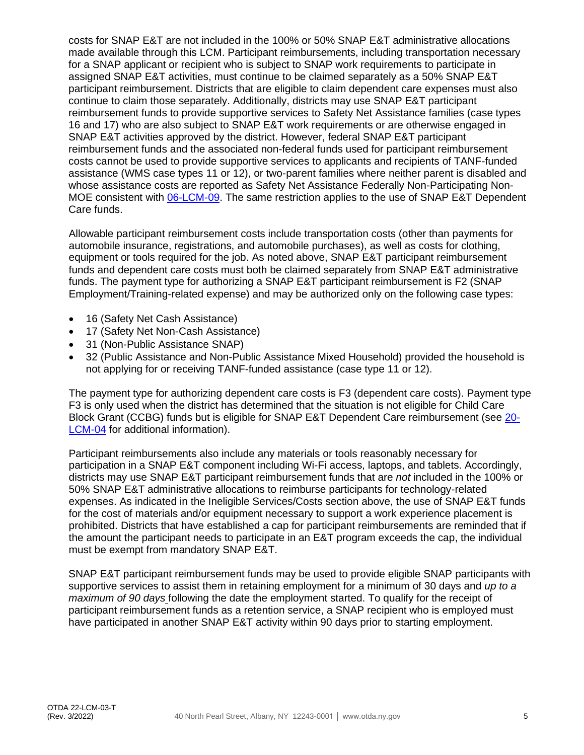costs for SNAP E&T are not included in the 100% or 50% SNAP E&T administrative allocations made available through this LCM. Participant reimbursements, including transportation necessary for a SNAP applicant or recipient who is subject to SNAP work requirements to participate in assigned SNAP E&T activities, must continue to be claimed separately as a 50% SNAP E&T participant reimbursement. Districts that are eligible to claim dependent care expenses must also continue to claim those separately. Additionally, districts may use SNAP E&T participant reimbursement funds to provide supportive services to Safety Net Assistance families (case types 16 and 17) who are also subject to SNAP E&T work requirements or are otherwise engaged in SNAP E&T activities approved by the district. However, federal SNAP E&T participant reimbursement funds and the associated non-federal funds used for participant reimbursement costs cannot be used to provide supportive services to applicants and recipients of TANF-funded assistance (WMS case types 11 or 12), or two-parent families where neither parent is disabled and whose assistance costs are reported as Safety Net Assistance Federally Non-Participating Non-MOE consistent with [06-LCM-09.](http://otda.ny.gov/policy/directives/2006/LCM/06-LCM-09.pdf) The same restriction applies to the use of SNAP E&T Dependent Care funds.

Allowable participant reimbursement costs include transportation costs (other than payments for automobile insurance, registrations, and automobile purchases), as well as costs for clothing, equipment or tools required for the job. As noted above, SNAP E&T participant reimbursement funds and dependent care costs must both be claimed separately from SNAP E&T administrative funds. The payment type for authorizing a SNAP E&T participant reimbursement is F2 (SNAP Employment/Training-related expense) and may be authorized only on the following case types:

- 16 (Safety Net Cash Assistance)
- 17 (Safety Net Non-Cash Assistance)
- 31 (Non-Public Assistance SNAP)
- 32 (Public Assistance and Non-Public Assistance Mixed Household) provided the household is not applying for or receiving TANF-funded assistance (case type 11 or 12).

The payment type for authorizing dependent care costs is F3 (dependent care costs). Payment type F3 is only used when the district has determined that the situation is not eligible for Child Care Block Grant (CCBG) funds but is eligible for SNAP E&T Dependent Care reimbursement (see [20-](https://otda.ny.gov/policy/directives/2020/LCM/20-LCM-04.pdf) [LCM-04](https://otda.ny.gov/policy/directives/2020/LCM/20-LCM-04.pdf) for additional information).

Participant reimbursements also include any materials or tools reasonably necessary for participation in a SNAP E&T component including Wi-Fi access, laptops, and tablets. Accordingly, districts may use SNAP E&T participant reimbursement funds that are *not* included in the 100% or 50% SNAP E&T administrative allocations to reimburse participants for technology-related expenses. As indicated in the Ineligible Services/Costs section above, the use of SNAP E&T funds for the cost of materials and/or equipment necessary to support a work experience placement is prohibited. Districts that have established a cap for participant reimbursements are reminded that if the amount the participant needs to participate in an E&T program exceeds the cap, the individual must be exempt from mandatory SNAP E&T.

SNAP E&T participant reimbursement funds may be used to provide eligible SNAP participants with supportive services to assist them in retaining employment for a minimum of 30 days and *up to a maximum of 90 days* following the date the employment started. To qualify for the receipt of participant reimbursement funds as a retention service, a SNAP recipient who is employed must have participated in another SNAP E&T activity within 90 days prior to starting employment.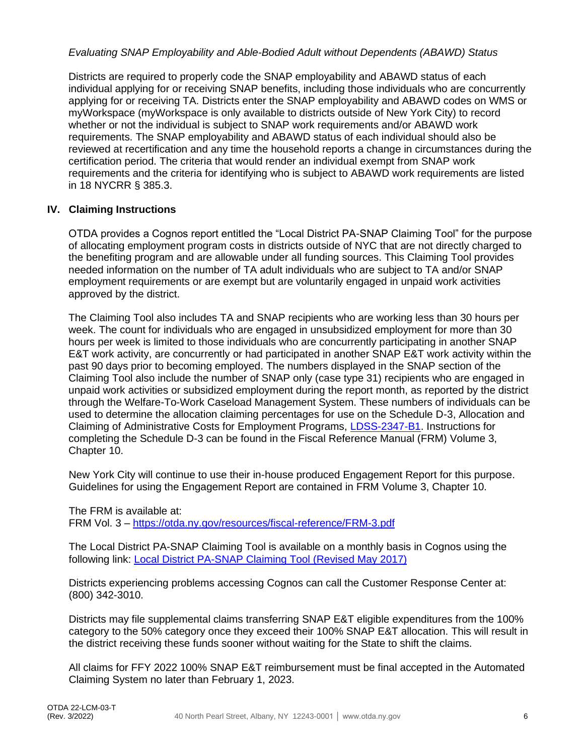#### *Evaluating SNAP Employability and Able-Bodied Adult without Dependents (ABAWD) Status*

Districts are required to properly code the SNAP employability and ABAWD status of each individual applying for or receiving SNAP benefits, including those individuals who are concurrently applying for or receiving TA. Districts enter the SNAP employability and ABAWD codes on WMS or myWorkspace (myWorkspace is only available to districts outside of New York City) to record whether or not the individual is subject to SNAP work requirements and/or ABAWD work requirements. The SNAP employability and ABAWD status of each individual should also be reviewed at recertification and any time the household reports a change in circumstances during the certification period. The criteria that would render an individual exempt from SNAP work requirements and the criteria for identifying who is subject to ABAWD work requirements are listed in 18 NYCRR § 385.3.

#### **IV. Claiming Instructions**

OTDA provides a Cognos report entitled the "Local District PA-SNAP Claiming Tool" for the purpose of allocating employment program costs in districts outside of NYC that are not directly charged to the benefiting program and are allowable under all funding sources. This Claiming Tool provides needed information on the number of TA adult individuals who are subject to TA and/or SNAP employment requirements or are exempt but are voluntarily engaged in unpaid work activities approved by the district.

The Claiming Tool also includes TA and SNAP recipients who are working less than 30 hours per week. The count for individuals who are engaged in unsubsidized employment for more than 30 hours per week is limited to those individuals who are concurrently participating in another SNAP E&T work activity, are concurrently or had participated in another SNAP E&T work activity within the past 90 days prior to becoming employed. The numbers displayed in the SNAP section of the Claiming Tool also include the number of SNAP only (case type 31) recipients who are engaged in unpaid work activities or subsidized employment during the report month, as reported by the district through the Welfare-To-Work Caseload Management System. These numbers of individuals can be used to determine the allocation claiming percentages for use on the Schedule D-3, Allocation and Claiming of Administrative Costs for Employment Programs, [LDSS-2347-B1.](http://otda.state.nyenet/ldss_eforms/eforms/2347B1.pdf) Instructions for completing the Schedule D-3 can be found in the Fiscal Reference Manual (FRM) Volume 3, Chapter 10.

New York City will continue to use their in-house produced Engagement Report for this purpose. Guidelines for using the Engagement Report are contained in FRM Volume 3, Chapter 10.

The FRM is available at: FRM Vol. 3 – <https://otda.ny.gov/resources/fiscal-reference/FRM-3.pdf>

The Local District PA-SNAP Claiming Tool is available on a monthly basis in Cognos using the following link: [Local District PA-SNAP Claiming Tool \(Revised May 2017\)](https://biservices.its.ny.gov/ibmcognos/bi/?pathRef=.public_folders%2FGlobal%2BReports%2FOTDA%2FEmployment%2BPrograms%2BReports%2FSNAP%2BE%2526T%2FLocal%2BDistrict%2BPA-SNAP%2BClaiming%2BTool%2B%2528Revised%2BMay%2B2017%2529)

Districts experiencing problems accessing Cognos can call the Customer Response Center at: (800) 342-3010.

Districts may file supplemental claims transferring SNAP E&T eligible expenditures from the 100% category to the 50% category once they exceed their 100% SNAP E&T allocation. This will result in the district receiving these funds sooner without waiting for the State to shift the claims.

All claims for FFY 2022 100% SNAP E&T reimbursement must be final accepted in the Automated Claiming System no later than February 1, 2023.